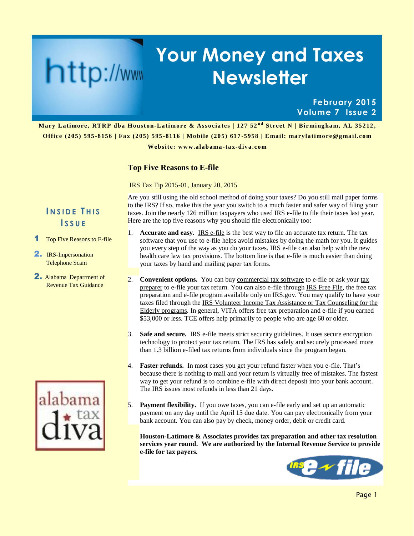# **Your Money and Taxes Newsletter**

### **February 2015 Volume 7 Issue 2**

**Mary Latimore, RTRP dba Houston-Latimore & Associates | 127 52<sup>nd</sup> Street N | Birmingham, AL 35212, Office (205) 595 -8156 | Fax (205) 595 -8116 | Mobile (205) 617 -5958 | E mail: marylatimore@g mail.com**

**Websit e: www.alabama -tax-diva.com**

### **Top Five Reasons to E-file**

IRS Tax Tip 2015-01, January 20, 2015

Are you still using the old school method of doing your taxes? Do you still mail paper forms to the IRS? If so, make this the year you switch to a much faster and safer way of filing your taxes. Join the nearly 126 million taxpayers who used IRS e-file to file their taxes last year. Here are the top five reasons why you should file electronically too:

- 1. **Accurate and easy.** [IRS e-file](http://www.irs.gov/Filing/E-File-Options) is the best way to file an accurate tax return. The tax software that you use to e-file helps avoid mistakes by doing the math for you. It guides you every step of the way as you do your taxes. IRS e-file can also help with the new health care law tax provisions. The bottom line is that e-file is much easier than doing your taxes by hand and mailing paper tax forms.
- 2. **Convenient options.** You can buy [commercial tax software](http://www.irs.gov/uac/efile-with-Commercial-Software) to e-file or ask your tax [preparer](http://www.irs.gov/uac/Authorized-IRS-e-file-Providers-for-Individuals) to e-file your tax return. You can also e-file through [IRS Free File,](http://www.irs.gov/uac/Free-File:-Do-Your-Federal-Taxes-for-Free) the free tax preparation and e-file program available only on IRS.gov. You may qualify to have your taxes filed through the [IRS Volunteer Income Tax Assistance or Tax Counseling for the](http://www.irs.gov/Individuals/Free-Tax-Return-Preparation-for-You-by-Volunteers)  [Elderly programs.](http://www.irs.gov/Individuals/Free-Tax-Return-Preparation-for-You-by-Volunteers) In general, VITA offers free tax preparation and e-file if you earned \$53,000 or less. TCE offers help primarily to people who are age 60 or older.
- 3. **Safe and secure.** IRS e-file meets strict security guidelines. It uses secure encryption technology to protect your tax return. The IRS has safely and securely processed more than 1.3 billion e-filed tax returns from individuals since the program began.
- 4. **Faster refunds.** In most cases you get your refund faster when you e-file. That's because there is nothing to mail and your return is virtually free of mistakes. The fastest way to get your refund is to combine e-file with direct deposit into your bank account. The IRS issues most refunds in less than 21 days.
- 5. **Payment flexibility.** If you owe taxes, you can e-file early and set up an automatic payment on any day until the April 15 due date. You can pay electronically from your bank account. You can also pay by check, money order, debit or credit card.

**Houston-Latimore & Associates provides tax preparation and other tax resolution services year round. We are authorized by the Internal Revenue Service to provide e-file for tax payers.**



### **I N S I D E T H I S I S S U E**

http://www

- Top Five Reasons to E-file
- 2. IRS-Impersonation Telephone Scam
- 2. Alabama Department of Revenue Tax Guidance